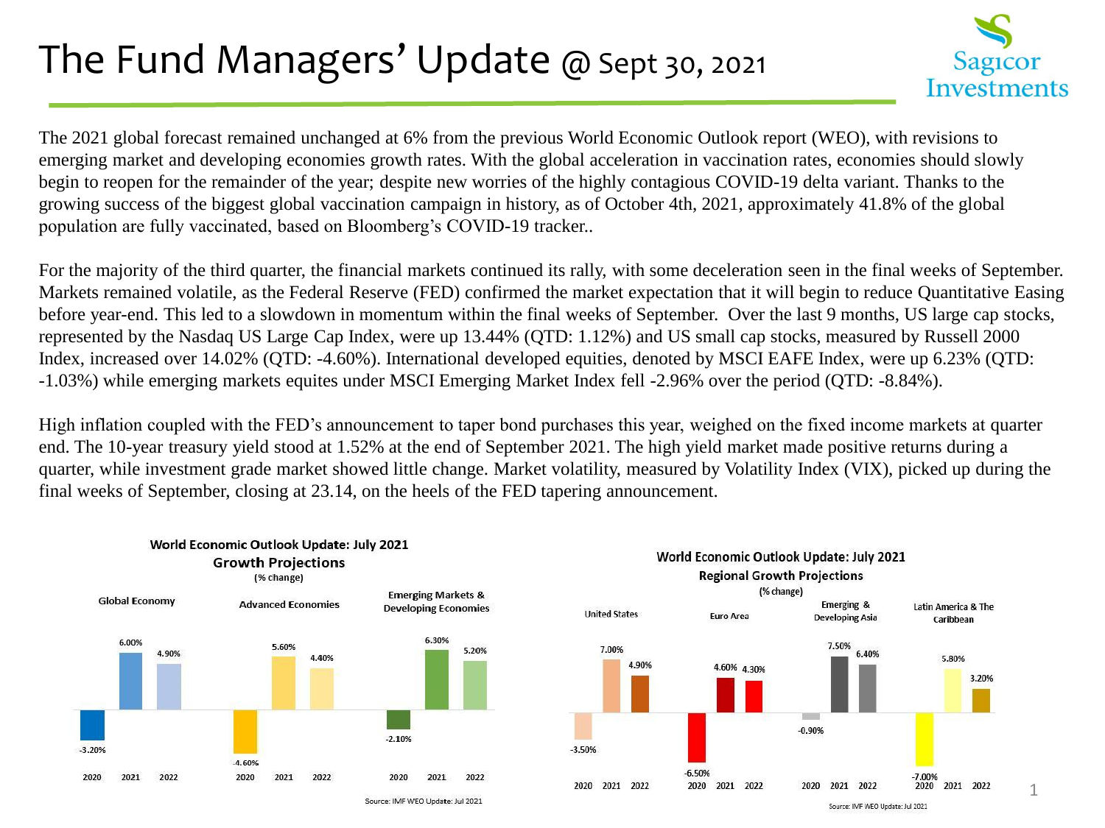### The Fund Managers' Update @ Sept 30, 2021



The 2021 global forecast remained unchanged at 6% from the previous World Economic Outlook report (WEO), with revisions to emerging market and developing economies growth rates. With the global acceleration in vaccination rates, economies should slowly begin to reopen for the remainder of the year; despite new worries of the highly contagious COVID-19 delta variant. Thanks to the growing success of the biggest global vaccination campaign in history, as of October 4th, 2021, approximately 41.8% of the global population are fully vaccinated, based on Bloomberg's COVID-19 tracker..

For the majority of the third quarter, the financial markets continued its rally, with some deceleration seen in the final weeks of September. Markets remained volatile, as the Federal Reserve (FED) confirmed the market expectation that it will begin to reduce Quantitative Easing before year-end. This led to a slowdown in momentum within the final weeks of September. Over the last 9 months, US large cap stocks, represented by the Nasdaq US Large Cap Index, were up 13.44% (QTD: 1.12%) and US small cap stocks, measured by Russell 2000 Index, increased over 14.02% (QTD: -4.60%). International developed equities, denoted by MSCI EAFE Index, were up 6.23% (QTD: -1.03%) while emerging markets equites under MSCI Emerging Market Index fell -2.96% over the period (QTD: -8.84%).

High inflation coupled with the FED's announcement to taper bond purchases this year, weighed on the fixed income markets at quarter end. The 10-year treasury yield stood at 1.52% at the end of September 2021. The high yield market made positive returns during a quarter, while investment grade market showed little change. Market volatility, measured by Volatility Index (VIX), picked up during the final weeks of September, closing at 23.14, on the heels of the FED tapering announcement.





Source: IMF WEO Update: Jul 2021

1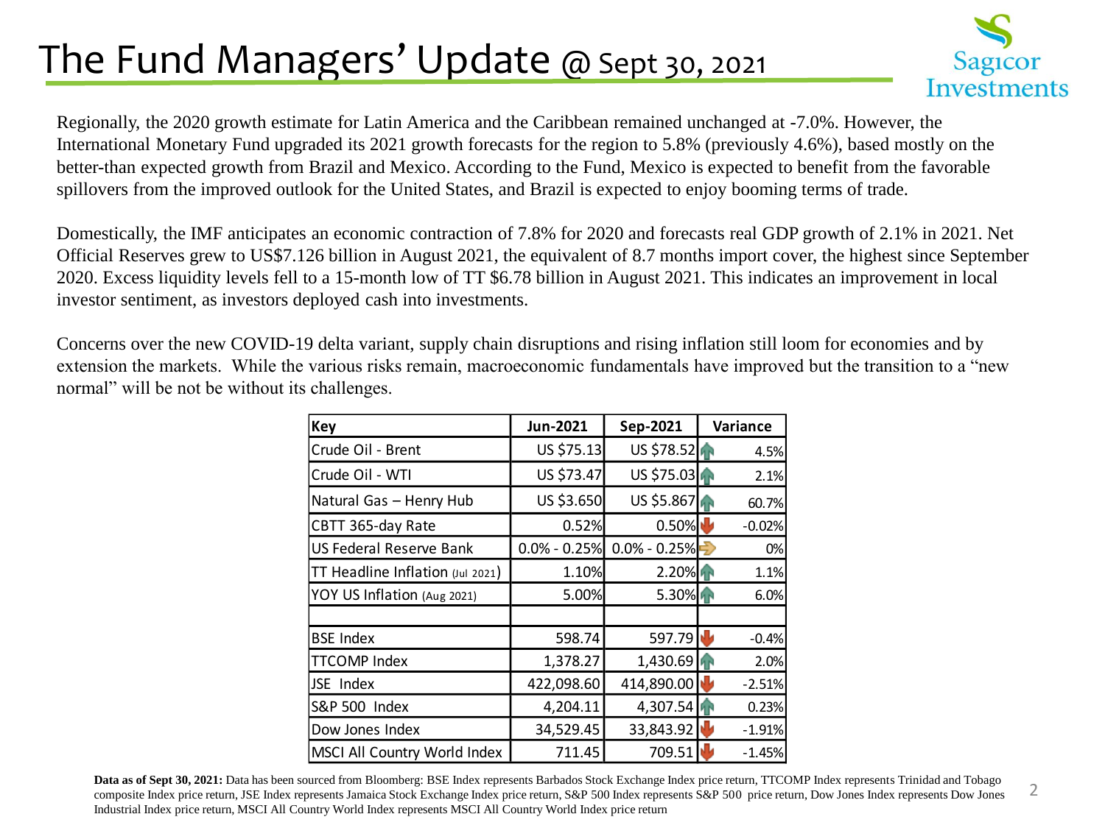## The Fund Managers' Update @ Sept 30, 2021



2

Regionally, the 2020 growth estimate for Latin America and the Caribbean remained unchanged at -7.0%. However, the International Monetary Fund upgraded its 2021 growth forecasts for the region to 5.8% (previously 4.6%), based mostly on the better-than expected growth from Brazil and Mexico. According to the Fund, Mexico is expected to benefit from the favorable spillovers from the improved outlook for the United States, and Brazil is expected to enjoy booming terms of trade.

Domestically, the IMF anticipates an economic contraction of 7.8% for 2020 and forecasts real GDP growth of 2.1% in 2021. Net Official Reserves grew to US\$7.126 billion in August 2021, the equivalent of 8.7 months import cover, the highest since September 2020. Excess liquidity levels fell to a 15-month low of TT \$6.78 billion in August 2021. This indicates an improvement in local investor sentiment, as investors deployed cash into investments.

Concerns over the new COVID-19 delta variant, supply chain disruptions and rising inflation still loom for economies and by extension the markets. While the various risks remain, macroeconomic fundamentals have improved but the transition to a "new normal" will be not be without its challenges.

| Key                              | Jun-2021         | Sep-2021         | <b>Variance</b> |
|----------------------------------|------------------|------------------|-----------------|
| Crude Oil - Brent                | US \$75.13       | US \$78.52       | 4.5%            |
| Crude Oil - WTI                  | US \$73.47       | US \$75.03       | 2.1%            |
| Natural Gas - Henry Hub          | US \$3.650       | US \$5.867       | 60.7%           |
| CBTT 365-day Rate                | 0.52%            | 0.50%            | $-0.02%$        |
| US Federal Reserve Bank          | $0.0\% - 0.25\%$ | $0.0\% - 0.25\%$ | 0%<br>⇔         |
| TT Headline Inflation (Jul 2021) | 1.10%            | 2.20%            | 1.1%            |
| YOY US Inflation (Aug 2021)      | 5.00%            | $5.30\%$         | 6.0%            |
|                                  |                  |                  |                 |
| <b>BSE Index</b>                 | 598.74           | 597.79           | $-0.4%$         |
| <b>TTCOMP Index</b>              | 1,378.27         | 1,430.69         | 2.0%            |
| JSE Index                        | 422,098.60       | 414,890.00       | $-2.51%$        |
| S&P 500 Index                    | 4,204.11         | 4,307.54         | 0.23%           |
| Dow Jones Index                  | 34,529.45        | 33,843.92        | $-1.91%$        |
| MSCI All Country World Index     | 711.45           | 709.51           | $-1.45%$        |

**Data as of Sept 30, 2021:** Data has been sourced from Bloomberg: BSE Index represents Barbados Stock Exchange Index price return, TTCOMP Index represents Trinidad and Tobago composite Index price return, JSE Index represents Jamaica Stock Exchange Index price return, S&P 500 Index represents S&P 500 price return, Dow Jones Index represents Dow Jones Industrial Index price return, MSCI All Country World Index represents MSCI All Country World Index price return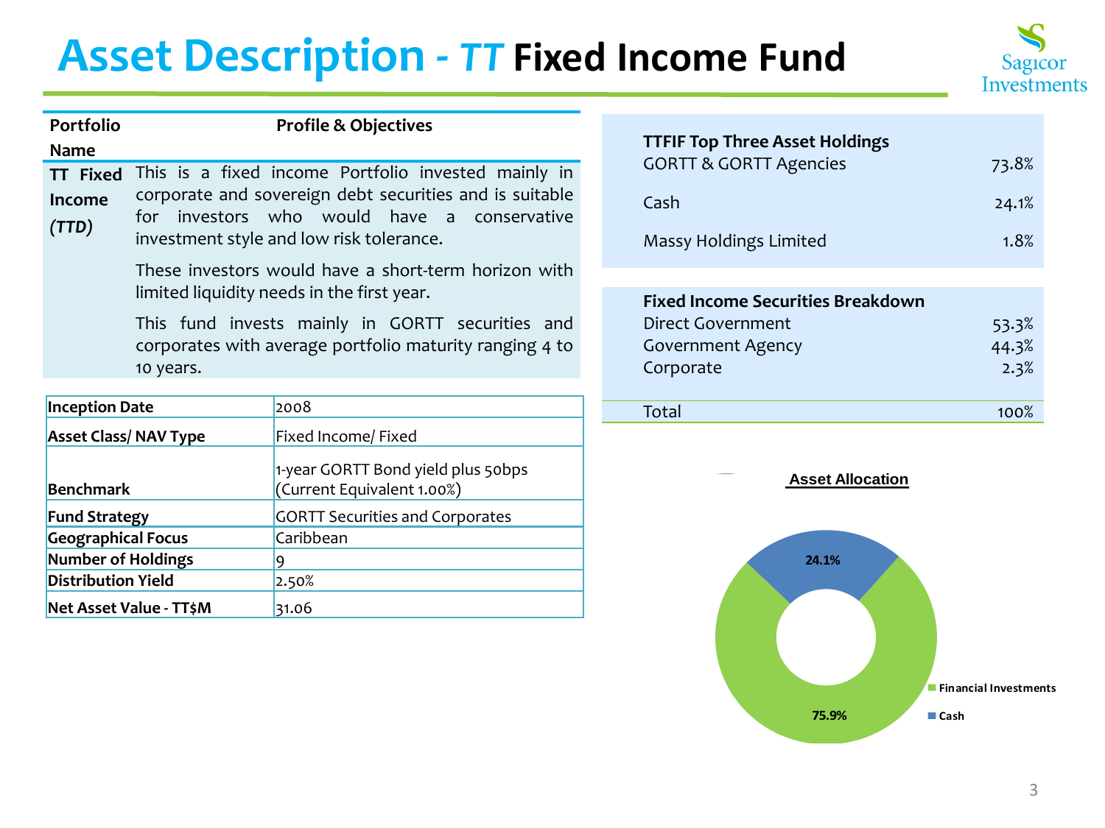# **Asset Description -** *TT* **Fixed Income Fund**



| Name                                                                                                                                                                                                                                                   |
|--------------------------------------------------------------------------------------------------------------------------------------------------------------------------------------------------------------------------------------------------------|
| This is a fixed income Portfolio invested mainly in<br><b>TT Fixed</b><br>corporate and sovereign debt securities and is suitable<br><b>Income</b><br>for investors who would have a conservative<br>(TTD)<br>investment style and low risk tolerance. |
| These investors would have a short-term horizon with<br>limited liquidity needs in the first year.                                                                                                                                                     |
| This fund invests mainly in GORTT securities and<br>corporates with average portfolio maturity ranging 4 to<br>10 years.                                                                                                                               |

| <b>Inception Date</b>        | 2008                                                             | Total                   | 100% |
|------------------------------|------------------------------------------------------------------|-------------------------|------|
| <b>Asset Class/ NAV Type</b> | Fixed Income/ Fixed                                              |                         |      |
| <b>Benchmark</b>             | 1-year GORTT Bond yield plus 50bps<br>(Current Equivalent 1.00%) | <b>Asset Allocation</b> |      |
| <b>Fund Strategy</b>         | <b>GORTT Securities and Corporates</b>                           |                         |      |
| <b>Geographical Focus</b>    | Caribbean                                                        |                         |      |
| Number of Holdings           |                                                                  | 24.1%                   |      |
| <b>Distribution Yield</b>    | 2.50%                                                            |                         |      |
| Net Asset Value - TT\$M      | 31.06                                                            |                         |      |

| <b>TTFIF Top Three Asset Holdings</b> |       |
|---------------------------------------|-------|
| <b>GORTT &amp; GORTT Agencies</b>     | 73.8% |
| . Cash                                | 24.1% |
| Massy Holdings Limited                | 1.8%  |

| <b>Fixed Income Securities Breakdown</b> |       |
|------------------------------------------|-------|
| Direct Government                        | 53.3% |
| <b>Government Agency</b>                 | 44.3% |
| Corporate                                | 2.3%  |
|                                          |       |
| Total                                    | 100%  |